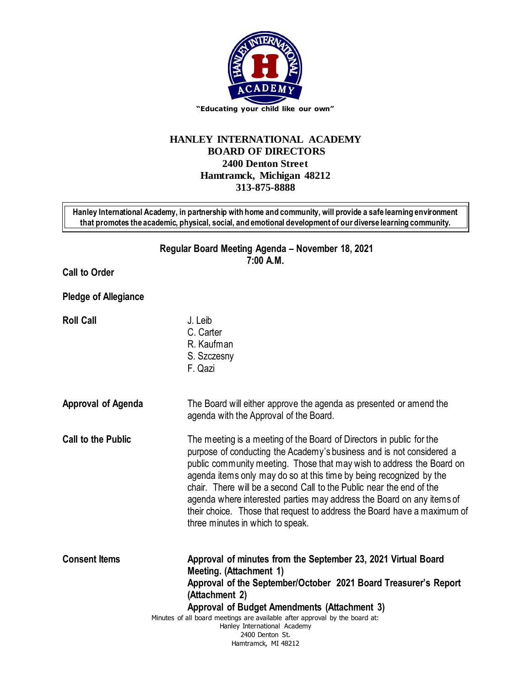

## **HANLEY INTERNATIONAL ACADEMY BOARD OF DIRECTORS 2400 Denton Street Hamtramck, Michigan 48212 313-875-8888**

**Hanley International Academy, in partnership with home and community, will provide a safe learning environment that promotes the academic, physical, social, and emotional development of our diverse learning community.**

> **Regular Board Meeting Agenda – November 18, 2021 7:00 A.M.**

**Call to Order**

**Pledge of Allegiance**

**Roll Call** J. Leib

- C. Carter R. Kaufman S. Szczesny
	- F. Qazi
- **Approval of Agenda** The Board will either approve the agenda as presented or amend the agenda with the Approval of the Board.
- **Call to the Public** The meeting is a meeting of the Board of Directors in public for the purpose of conducting the Academy's business and is not considered a public community meeting. Those that may wish to address the Board on agenda items only may do so at this time by being recognized by the chair. There will be a second Call to the Public near the end of the agenda where interested parties may address the Board on any items of their choice. Those that request to address the Board have a maximum of three minutes in which to speak.

Minutes of all board meetings are available after approval by the board at: Hanley International Academy **Consent Items Approval of minutes from the September 23, 2021 Virtual Board Meeting. (Attachment 1) Approval of the September/October 2021 Board Treasurer's Report (Attachment 2) Approval of Budget Amendments (Attachment 3)**

2400 Denton St. Hamtramck, MI 48212